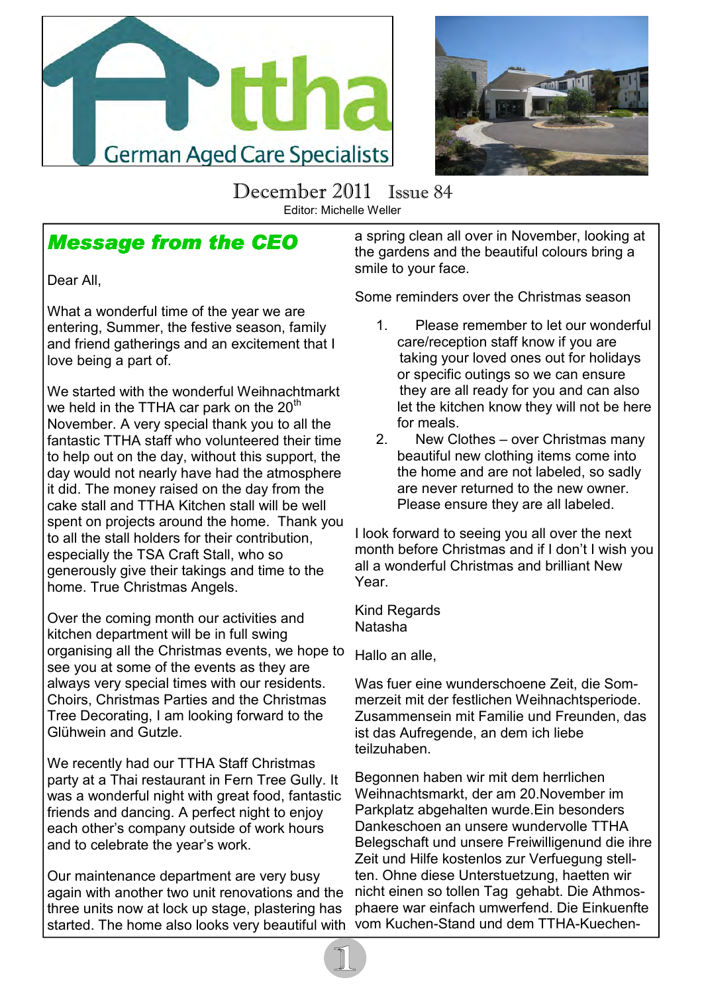



December 2011 Issue 84 Editor: Michelle Weller

### **Message from the CEO**

Dear All,

What a wonderful time of the year we are entering, Summer, the festive season, family and friend gatherings and an excitement that I love being a part of.

We started with the wonderful Weihnachtmarkt we held in the TTHA car park on the 20<sup>th</sup> November. A very special thank you to all the fantastic TTHA staff who volunteered their time to help out on the day, without this support, the day would not nearly have had the atmosphere it did. The money raised on the day from the cake stall and TTHA Kitchen stall will be well spent on projects around the home. Thank you to all the stall holders for their contribution, especially the TSA Craft Stall, who so generously give their takings and time to the home. True Christmas Angels.

Over the coming month our activities and kitchen department will be in full swing organising all the Christmas events, we hope to see you at some of the events as they are always very special times with our residents. Choirs, Christmas Parties and the Christmas Tree Decorating, I am looking forward to the Glühwein and Gutzle.

We recently had our TTHA Staff Christmas party at a Thai restaurant in Fern Tree Gully. It was a wonderful night with great food, fantastic friends and dancing. A perfect night to enjoy each other's company outside of work hours and to celebrate the year's work.

Our maintenance department are very busy again with another two unit renovations and the three units now at lock up stage, plastering has started. The home also looks very beautiful with

a spring clean all over in November, looking at the gardens and the beautiful colours bring a smile to your face.

Some reminders over the Christmas season

- 1. Please remember to let our wonderful care/reception staff know if you are taking your loved ones out for holidays or specific outings so we can ensure they are all ready for you and can also let the kitchen know they will not be here for meals.
- 2. New Clothes over Christmas many beautiful new clothing items come into the home and are not labeled, so sadly are never returned to the new owner. Please ensure they are all labeled.

I look forward to seeing you all over the next month before Christmas and if I don't I wish you all a wonderful Christmas and brilliant New Year.

Kind Regards Natasha

Hallo an alle,

Was fuer eine wunderschoene Zeit, die Sommerzeit mit der festlichen Weihnachtsperiode. Zusammensein mit Familie und Freunden, das ist das Aufregende, an dem ich liebe teilzuhaben.

Begonnen haben wir mit dem herrlichen Weihnachtsmarkt, der am 20.November im Parkplatz abgehalten wurde.Ein besonders Dankeschoen an unsere wundervolle TTHA Belegschaft und unsere Freiwilligenund die ihre Zeit und Hilfe kostenlos zur Verfuegung stellten. Ohne diese Unterstuetzung, haetten wir nicht einen so tollen Tag gehabt. Die Athmosphaere war einfach umwerfend. Die Einkuenfte vom Kuchen-Stand und dem TTHA-Kuechen-

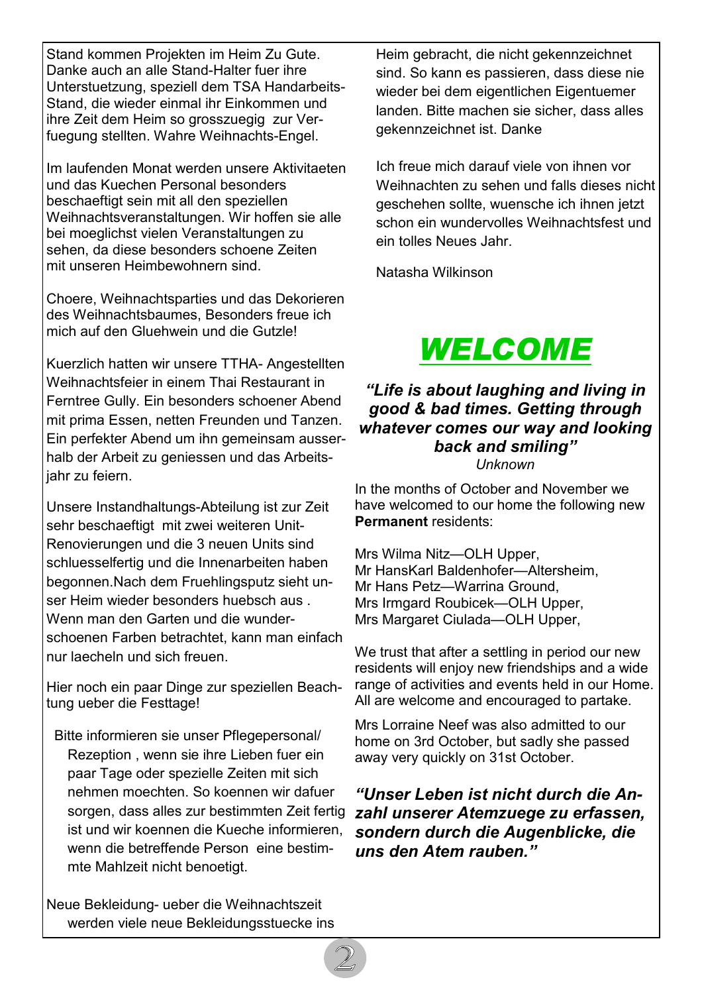Stand kommen Projekten im Heim Zu Gute. Danke auch an alle Stand-Halter fuer ihre Unterstuetzung, speziell dem TSA Handarbeits-Stand, die wieder einmal ihr Einkommen und ihre Zeit dem Heim so grosszuegig zur Verfuegung stellten. Wahre Weihnachts-Engel.

Im laufenden Monat werden unsere Aktivitaeten und das Kuechen Personal besonders beschaeftigt sein mit all den speziellen Weihnachtsveranstaltungen. Wir hoffen sie alle bei moeglichst vielen Veranstaltungen zu sehen, da diese besonders schoene Zeiten mit unseren Heimbewohnern sind.

Choere, Weihnachtsparties und das Dekorieren des Weihnachtsbaumes, Besonders freue ich mich auf den Gluehwein und die Gutzle!

Kuerzlich hatten wir unsere TTHA- Angestellten Weihnachtsfeier in einem Thai Restaurant in Ferntree Gully. Ein besonders schoener Abend mit prima Essen, netten Freunden und Tanzen. Ein perfekter Abend um ihn gemeinsam ausserhalb der Arbeit zu geniessen und das Arbeitsjahr zu feiern.

Unsere Instandhaltungs-Abteilung ist zur Zeit sehr beschaeftigt mit zwei weiteren Unit-Renovierungen und die 3 neuen Units sind schluesselfertig und die Innenarbeiten haben begonnen.Nach dem Fruehlingsputz sieht unser Heim wieder besonders huebsch aus . Wenn man den Garten und die wunderschoenen Farben betrachtet, kann man einfach nur laecheln und sich freuen.

Hier noch ein paar Dinge zur speziellen Beachtung ueber die Festtage!

 Bitte informieren sie unser Pflegepersonal/ Rezeption , wenn sie ihre Lieben fuer ein paar Tage oder spezielle Zeiten mit sich nehmen moechten. So koennen wir dafuer sorgen, dass alles zur bestimmten Zeit fertig ist und wir koennen die Kueche informieren, wenn die betreffende Person eine bestimmte Mahlzeit nicht benoetigt.

Neue Bekleidung- ueber die Weihnachtszeit werden viele neue Bekleidungsstuecke ins

Heim gebracht, die nicht gekennzeichnet sind. So kann es passieren, dass diese nie wieder bei dem eigentlichen Eigentuemer landen. Bitte machen sie sicher, dass alles gekennzeichnet ist. Danke

Ich freue mich darauf viele von ihnen vor Weihnachten zu sehen und falls dieses nicht geschehen sollte, wuensche ich ihnen jetzt schon ein wundervolles Weihnachtsfest und ein tolles Neues Jahr.

Natasha Wilkinson



"Life is about laughing and living in good & bad times. Getting through whatever comes our way and looking back and smiling" Unknown

In the months of October and November we have welcomed to our home the following new Permanent residents:

Mrs Wilma Nitz—OLH Upper, Mr HansKarl Baldenhofer—Altersheim, Mr Hans Petz—Warrina Ground, Mrs Irmgard Roubicek—OLH Upper, Mrs Margaret Ciulada—OLH Upper,

We trust that after a settling in period our new residents will enjoy new friendships and a wide range of activities and events held in our Home. All are welcome and encouraged to partake.

Mrs Lorraine Neef was also admitted to our home on 3rd October, but sadly she passed away very quickly on 31st October.

"Unser Leben ist nicht durch die Anzahl unserer Atemzuege zu erfassen, sondern durch die Augenblicke, die uns den Atem rauben."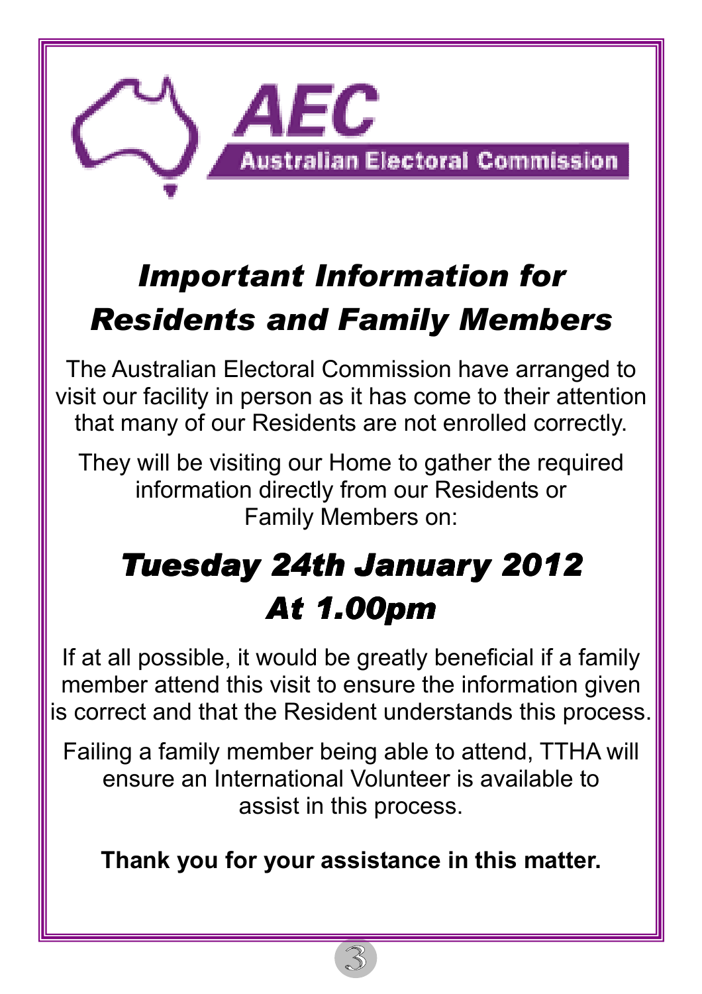

# Important Information for Residents and Family Members

The Australian Electoral Commission have arranged to visit our facility in person as it has come to their attention that many of our Residents are not enrolled correctly.

They will be visiting our Home to gather the required information directly from our Residents or Family Members on:

# **Tuesday 24th January 2012 At 1.00pm**

If at all possible, it would be greatly beneficial if a family member attend this visit to ensure the information given is correct and that the Resident understands this process.

Failing a family member being able to attend, TTHA will ensure an International Volunteer is available to assist in this process.

Thank you for your assistance in this matter.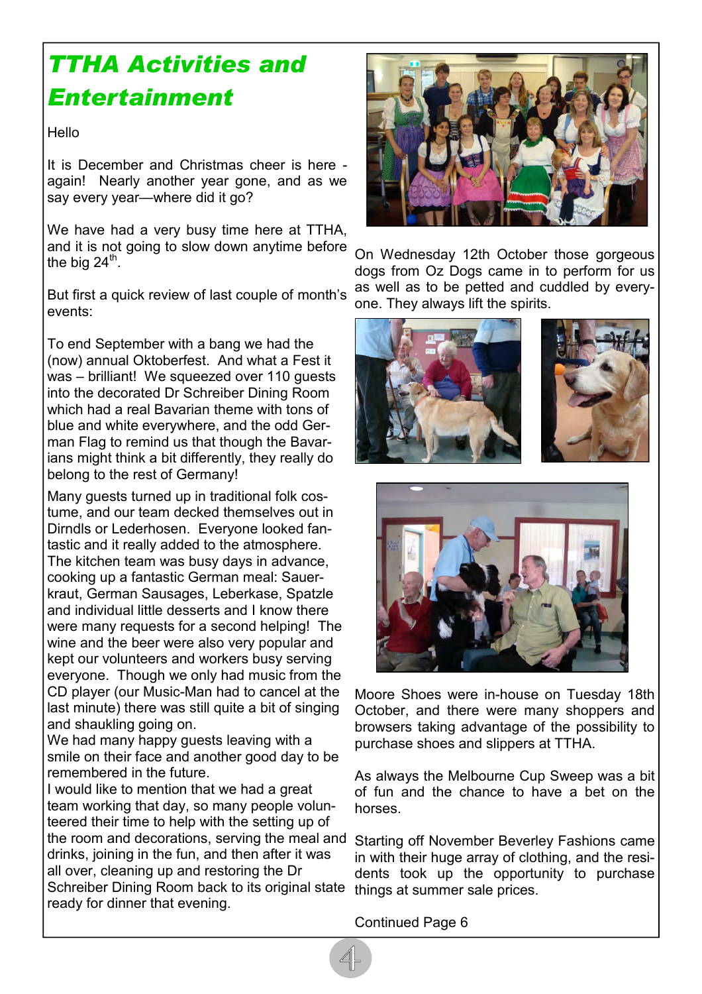# TTHA Activities and Entertainment

Hello

It is December and Christmas cheer is here again! Nearly another year gone, and as we say every year—where did it go?

We have had a very busy time here at TTHA, and it is not going to slow down anytime before the big 24 $^{\sf th}$ .

But first a quick review of last couple of month's events:

To end September with a bang we had the (now) annual Oktoberfest. And what a Fest it was – brilliant! We squeezed over 110 guests into the decorated Dr Schreiber Dining Room which had a real Bavarian theme with tons of blue and white everywhere, and the odd German Flag to remind us that though the Bavarians might think a bit differently, they really do belong to the rest of Germany!

Many guests turned up in traditional folk costume, and our team decked themselves out in Dirndls or Lederhosen. Everyone looked fantastic and it really added to the atmosphere. The kitchen team was busy days in advance, cooking up a fantastic German meal: Sauerkraut, German Sausages, Leberkase, Spatzle and individual little desserts and I know there were many requests for a second helping! The wine and the beer were also very popular and kept our volunteers and workers busy serving everyone. Though we only had music from the CD player (our Music-Man had to cancel at the last minute) there was still quite a bit of singing and shaukling going on.

We had many happy guests leaving with a smile on their face and another good day to be remembered in the future.

I would like to mention that we had a great team working that day, so many people volunteered their time to help with the setting up of the room and decorations, serving the meal and Starting off November Beverley Fashions came drinks, joining in the fun, and then after it was all over, cleaning up and restoring the Dr Schreiber Dining Room back to its original state things at summer sale prices. ready for dinner that evening.



On Wednesday 12th October those gorgeous dogs from Oz Dogs came in to perform for us as well as to be petted and cuddled by everyone. They always lift the spirits.







Moore Shoes were in-house on Tuesday 18th October, and there were many shoppers and browsers taking advantage of the possibility to purchase shoes and slippers at TTHA.

As always the Melbourne Cup Sweep was a bit of fun and the chance to have a bet on the horses.

in with their huge array of clothing, and the residents took up the opportunity to purchase

Continued Page 6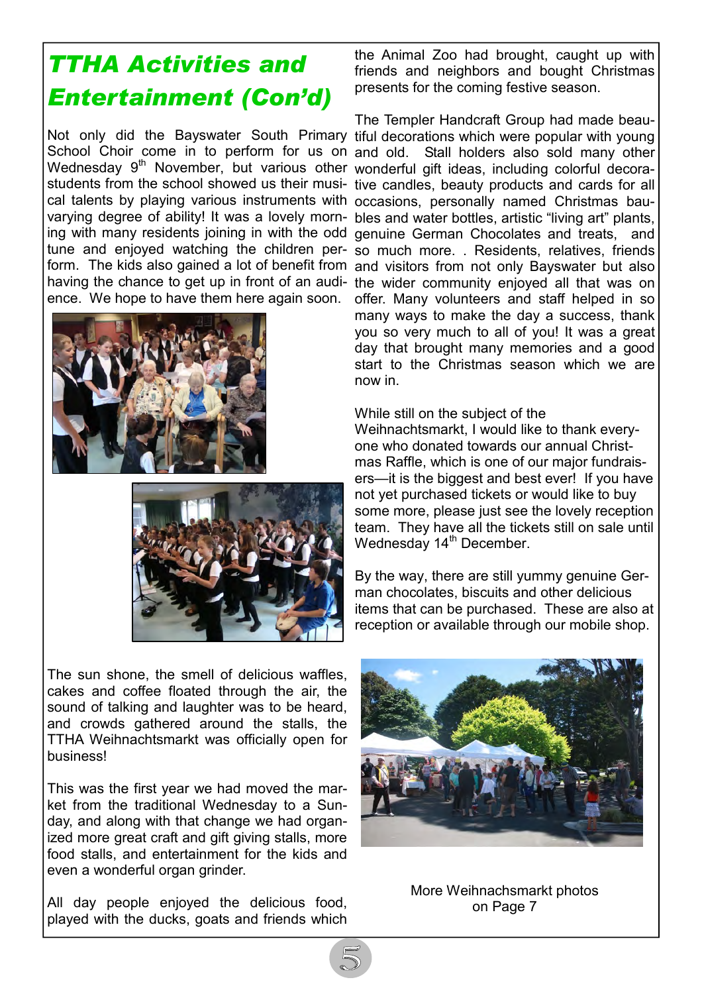# TTHA Activities and Entertainment (Con'd)

Wednesday 9<sup>th</sup> November, but various other wonderful gift ideas, including colorful decoracal talents by playing various instruments with occasions, personally named Christmas bauence. We hope to have them here again soon.





The sun shone, the smell of delicious waffles, cakes and coffee floated through the air, the sound of talking and laughter was to be heard, and crowds gathered around the stalls, the TTHA Weihnachtsmarkt was officially open for business!

This was the first year we had moved the market from the traditional Wednesday to a Sunday, and along with that change we had organized more great craft and gift giving stalls, more food stalls, and entertainment for the kids and even a wonderful organ grinder.

All day people enjoyed the delicious food, played with the ducks, goats and friends which

the Animal Zoo had brought, caught up with friends and neighbors and bought Christmas presents for the coming festive season.

Not only did the Bayswater South Primary tiful decorations which were popular with young School Choir come in to perform for us on and old. Stall holders also sold many other students from the school showed us their musi-tive candles, beauty products and cards for all varying degree of ability! It was a lovely morn-bles and water bottles, artistic "living art" plants, ing with many residents joining in with the odd genuine German Chocolates and treats, and tune and enjoyed watching the children per-so much more. . Residents, relatives, friends form. The kids also gained a lot of benefit from and visitors from not only Bayswater but also having the chance to get up in front of an audi- the wider community enjoyed all that was on The Templer Handcraft Group had made beauoffer. Many volunteers and staff helped in so many ways to make the day a success, thank you so very much to all of you! It was a great day that brought many memories and a good start to the Christmas season which we are now in.

#### While still on the subject of the

Weihnachtsmarkt, I would like to thank everyone who donated towards our annual Christmas Raffle, which is one of our major fundraisers—it is the biggest and best ever! If you have not yet purchased tickets or would like to buy some more, please just see the lovely reception team. They have all the tickets still on sale until Wednesday 14<sup>th</sup> December.

By the way, there are still yummy genuine German chocolates, biscuits and other delicious items that can be purchased. These are also at reception or available through our mobile shop.



More Weihnachsmarkt photos on Page 7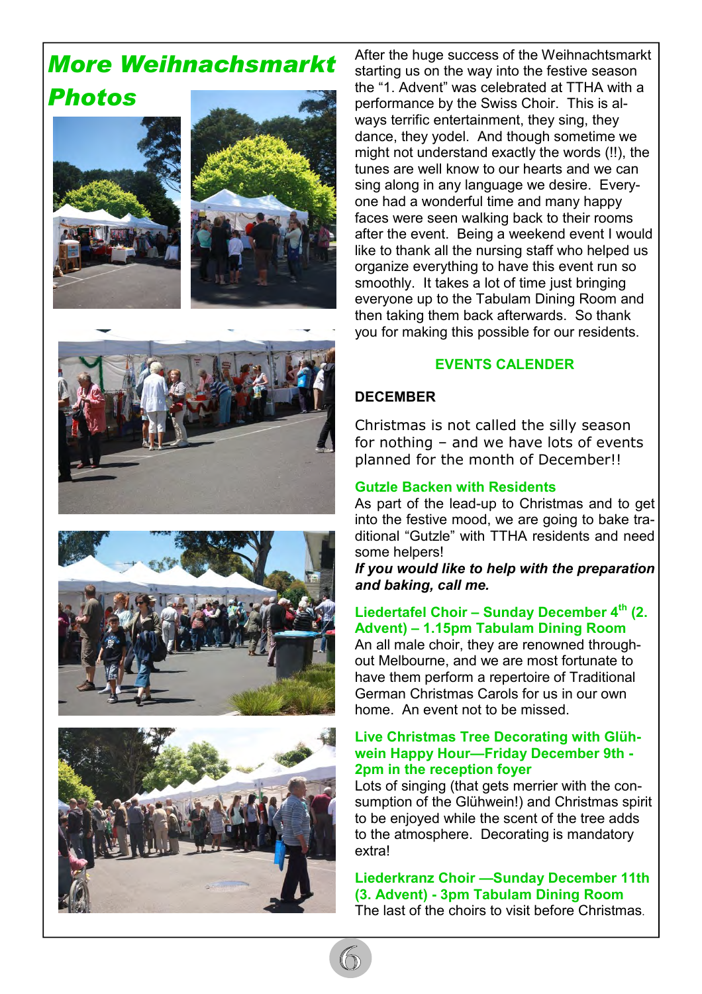### More Weihnachsmarkt Photos





After the huge success of the Weihnachtsmarkt starting us on the way into the festive season the "1. Advent" was celebrated at TTHA with a performance by the Swiss Choir. This is always terrific entertainment, they sing, they dance, they yodel. And though sometime we might not understand exactly the words (!!), the tunes are well know to our hearts and we can sing along in any language we desire. Everyone had a wonderful time and many happy faces were seen walking back to their rooms after the event. Being a weekend event I would like to thank all the nursing staff who helped us organize everything to have this event run so smoothly. It takes a lot of time just bringing everyone up to the Tabulam Dining Room and then taking them back afterwards. So thank you for making this possible for our residents.

#### EVENTS CALENDER

#### **DECEMBER**

Christmas is not called the silly season for nothing – and we have lots of events planned for the month of December!!

#### Gutzle Backen with Residents

As part of the lead-up to Christmas and to get into the festive mood, we are going to bake traditional "Gutzle" with TTHA residents and need some helpers!

If you would like to help with the preparation and baking, call me.

#### Liedertafel Choir – Sunday December  $4<sup>th</sup>$  (2. Advent) – 1.15pm Tabulam Dining Room

An all male choir, they are renowned throughout Melbourne, and we are most fortunate to have them perform a repertoire of Traditional German Christmas Carols for us in our own home. An event not to be missed.

#### Live Christmas Tree Decorating with Glühwein Happy Hour—Friday December 9th - 2pm in the reception foyer

Lots of singing (that gets merrier with the consumption of the Glühwein!) and Christmas spirit to be enjoyed while the scent of the tree adds to the atmosphere. Decorating is mandatory extra!

Liederkranz Choir —Sunday December 11th (3. Advent) - 3pm Tabulam Dining Room The last of the choirs to visit before Christmas.





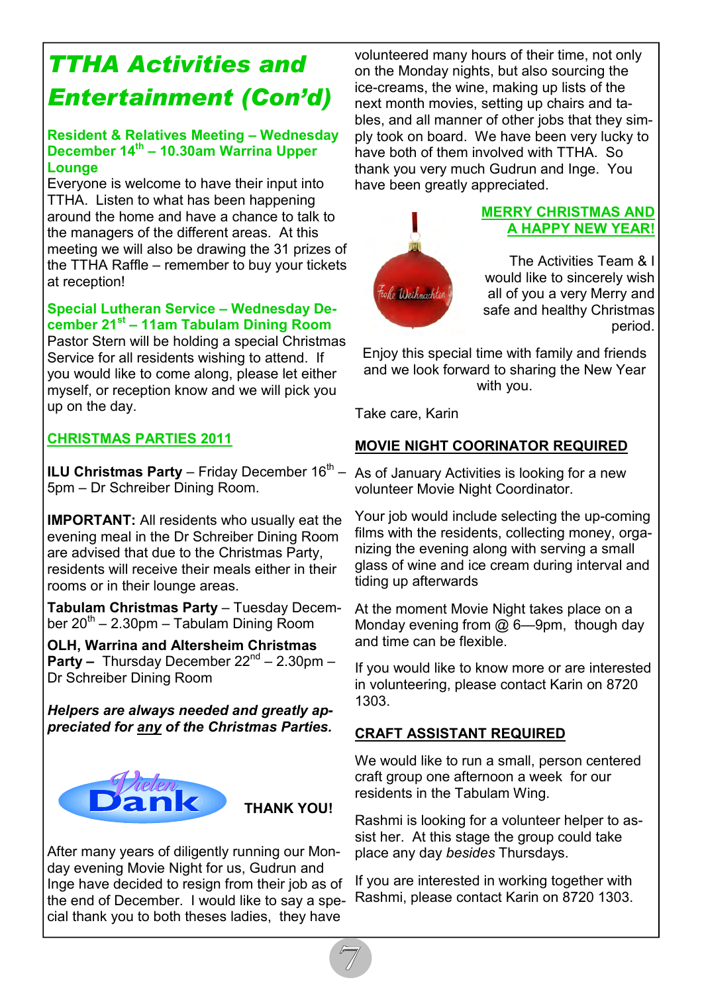# TTHA Activities and Entertainment (Con'd)

#### Resident & Relatives Meeting – Wednesday December 14<sup>th</sup> – 10.30am Warrina Upper Lounge

Everyone is welcome to have their input into TTHA. Listen to what has been happening around the home and have a chance to talk to the managers of the different areas. At this meeting we will also be drawing the 31 prizes of the TTHA Raffle – remember to buy your tickets at reception!

#### Special Lutheran Service – Wednesday December 21<sup>st</sup> – 11am Tabulam Dining Room

Pastor Stern will be holding a special Christmas Service for all residents wishing to attend. If you would like to come along, please let either myself, or reception know and we will pick you up on the day.

#### CHRISTMAS PARTIES 2011

**ILU Christmas Party** – Friday December  $16<sup>th</sup>$  – 5pm – Dr Schreiber Dining Room.

IMPORTANT: All residents who usually eat the evening meal in the Dr Schreiber Dining Room are advised that due to the Christmas Party, residents will receive their meals either in their rooms or in their lounge areas.

Tabulam Christmas Party – Tuesday December  $20^{th}$  – 2.30pm – Tabulam Dining Room

OLH, Warrina and Altersheim Christmas **Party –** Thursday December  $22^{nd}$  – 2.30pm – Dr Schreiber Dining Room

Helpers are always needed and greatly appreciated for any of the Christmas Parties.



After many years of diligently running our Monday evening Movie Night for us, Gudrun and Inge have decided to resign from their job as of the end of December. I would like to say a special thank you to both theses ladies, they have

volunteered many hours of their time, not only on the Monday nights, but also sourcing the ice-creams, the wine, making up lists of the next month movies, setting up chairs and tables, and all manner of other jobs that they simply took on board. We have been very lucky to have both of them involved with TTHA. So thank you very much Gudrun and Inge. You have been greatly appreciated.



#### MERRY CHRISTMAS AND A HAPPY NEW YEAR!

The Activities Team & I would like to sincerely wish all of you a very Merry and safe and healthy Christmas period.

Enjoy this special time with family and friends and we look forward to sharing the New Year with you.

Take care, Karin

#### MOVIE NIGHT COORINATOR REQUIRED

As of January Activities is looking for a new volunteer Movie Night Coordinator.

Your job would include selecting the up-coming films with the residents, collecting money, organizing the evening along with serving a small glass of wine and ice cream during interval and tiding up afterwards

At the moment Movie Night takes place on a Monday evening from @ 6—9pm, though day and time can be flexible.

If you would like to know more or are interested in volunteering, please contact Karin on 8720 1303.

#### CRAFT ASSISTANT REQUIRED

We would like to run a small, person centered craft group one afternoon a week for our residents in the Tabulam Wing.

Rashmi is looking for a volunteer helper to assist her. At this stage the group could take place any day besides Thursdays.

If you are interested in working together with Rashmi, please contact Karin on 8720 1303.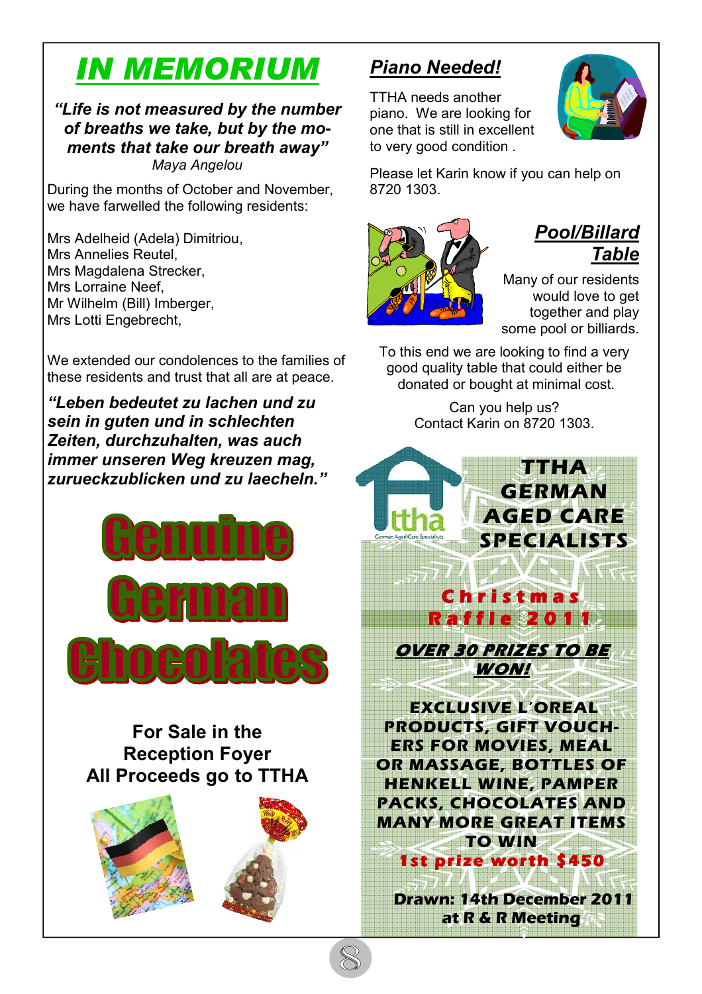# IN MEMORIUM

"Life is not measured by the number of breaths we take, but by the moments that take our breath away" Maya Angelou

During the months of October and November, we have farwelled the following residents:

Mrs Adelheid (Adela) Dimitriou, Mrs Annelies Reutel, Mrs Magdalena Strecker, Mrs Lorraine Neef, Mr Wilhelm (Bill) Imberger, Mrs Lotti Engebrecht,

We extended our condolences to the families of these residents and trust that all are at peace.

"Leben bedeutet zu lachen und zu sein in guten und in schlechten Zeiten, durchzuhalten, was auch immer unseren Weg kreuzen mag, zurueckzublicken und zu laecheln."



### For Sale in the Reception Foyer All Proceeds go to TTHA



### Piano Needed!

TTHA needs another piano. We are looking for one that is still in excellent to very good condition .



Please let Karin know if you can help on 8720 1303.



### Pool/Billard **Table**

Many of our residents would love to get together and play some pool or billiards.

To this end we are looking to find a very good quality table that could either be donated or bought at minimal cost.

> Can you help us? Contact Karin on 8720 1303.



Drawn: 14th December 2011 at R & R Meeting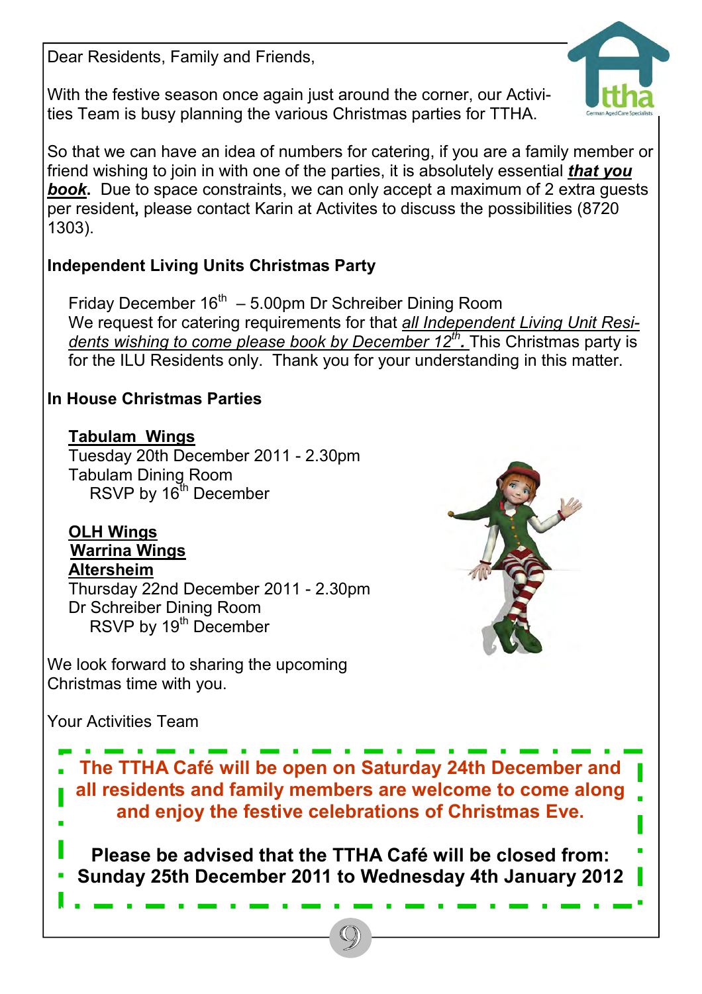Dear Residents, Family and Friends,

With the festive season once again just around the corner, our Activities Team is busy planning the various Christmas parties for TTHA.



So that we can have an idea of numbers for catering, if you are a family member or friend wishing to join in with one of the parties, it is absolutely essential *that you* **book.** Due to space constraints, we can only accept a maximum of 2 extra quests per resident, please contact Karin at Activites to discuss the possibilities (8720 1303).

### Independent Living Units Christmas Party

Friday December  $16<sup>th</sup> - 5.00$ pm Dr Schreiber Dining Room We request for catering requirements for that all Independent Living Unit Residents wishing to come please book by December 12<sup>th</sup>. This Christmas party is for the ILU Residents only. Thank you for your understanding in this matter.

### In House Christmas Parties

### Tabulam Wings

Tuesday 20th December 2011 - 2.30pm Tabulam Dining Room RSVP by  $16^{th}$  December

#### OLH Wings Warrina Wings Altersheim

Thursday 22nd December 2011 - 2.30pm Dr Schreiber Dining Room RSVP by 19<sup>th</sup> December





The TTHA Café will be open on Saturday 24th December and all residents and family members are welcome to come along and enjoy the festive celebrations of Christmas Eve.

Please be advised that the TTHA Café will be closed from: Sunday 25th December 2011 to Wednesday 4th January 2012